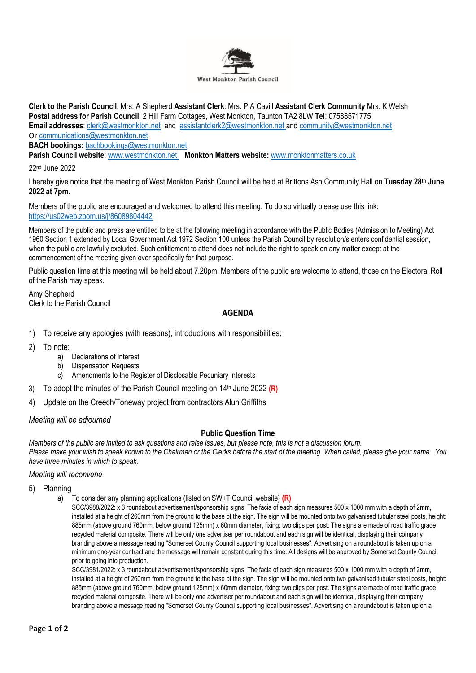

**Clerk to the Parish Council**: Mrs. A Shepherd **Assistant Clerk**: Mrs. P A Cavill **Assistant Clerk Community** Mrs. K Welsh **Postal address for Parish Council**: 2 Hill Farm Cottages, West Monkton, Taunton TA2 8LW **Tel**: 07588571775 **Email addresses**: [clerk@westmonkton.net](mailto:clerk@westmonkton.net) and [assistantclerk2@westmonkton.net](mailto:assistantclerk2@westmonkton.net) an[d community@westmonkton.net](mailto:community@westmonkton.net) Or [communications@westmonkton.net](mailto:communications@westmonkton.net)

**BACH bookings:** [bachbookings@westmonkton.net](mailto:bachbookings@westmonkton.net)

**Parish Council website**: [www.westmonkton.net](http://www.westmonkton.net/) **Monkton Matters website:** [www.monktonmatters.co.uk](http://www.monktonmatters.co.uk/)

22nd June 2022

I hereby give notice that the meeting of West Monkton Parish Council will be held at Brittons Ash Community Hall on **Tuesday 28 th June 2022 at 7pm.**

Members of the public are encouraged and welcomed to attend this meeting. To do so virtually please use this link: <https://us02web.zoom.us/j/86089804442>

Members of the public and press are entitled to be at the following meeting in accordance with the Public Bodies (Admission to Meeting) Act 1960 Section 1 extended by Local Government Act 1972 Section 100 unless the Parish Council by resolution/s enters confidential session, when the public are lawfully excluded. Such entitlement to attend does not include the right to speak on any matter except at the commencement of the meeting given over specifically for that purpose.

Public question time at this meeting will be held about 7.20pm. Members of the public are welcome to attend, those on the Electoral Roll of the Parish may speak.

Amy Shepherd Clerk to the Parish Council

## **AGENDA**

- 1) To receive any apologies (with reasons), introductions with responsibilities;
- 2) To note:
	- a) Declarations of Interest
	- b) Dispensation Requests
	- c) Amendments to the Register of Disclosable Pecuniary Interests
- 3) To adopt the minutes of the Parish Council meeting on 14 th June 2022 **(R)**
- 4) Update on the Creech/Toneway project from contractors Alun Griffiths

*Meeting will be adjourned*

#### **Public Question Time**

*Members of the public are invited to ask questions and raise issues, but please note, this is not a discussion forum. Please make your wish to speak known to the Chairman or the Clerks before the start of the meeting. When called, please give your name. You have three minutes in which to speak.*

## *Meeting will reconvene*

5) Planning

a) To consider any planning applications (listed on SW+T Council website) **(R)**

SCC/3988/2022: x 3 roundabout advertisement/sponsorship signs. The facia of each sign measures 500 x 1000 mm with a depth of 2mm, installed at a height of 260mm from the ground to the base of the sign. The sign will be mounted onto two galvanised tubular steel posts, height: 885mm (above ground 760mm, below ground 125mm) x 60mm diameter, fixing: two clips per post. The signs are made of road traffic grade recycled material composite. There will be only one advertiser per roundabout and each sign will be identical, displaying their company branding above a message reading "Somerset County Council supporting local businesses". Advertising on a roundabout is taken up on a minimum one-year contract and the message will remain constant during this time. All designs will be approved by Somerset County Council prior to going into production.

SCC/3981/2022: x 3 roundabout advertisement/sponsorship signs. The facia of each sign measures 500 x 1000 mm with a depth of 2mm, installed at a height of 260mm from the ground to the base of the sign. The sign will be mounted onto two galvanised tubular steel posts, height: 885mm (above ground 760mm, below ground 125mm) x 60mm diameter, fixing: two clips per post. The signs are made of road traffic grade recycled material composite. There will be only one advertiser per roundabout and each sign will be identical, displaying their company branding above a message reading "Somerset County Council supporting local businesses". Advertising on a roundabout is taken up on a